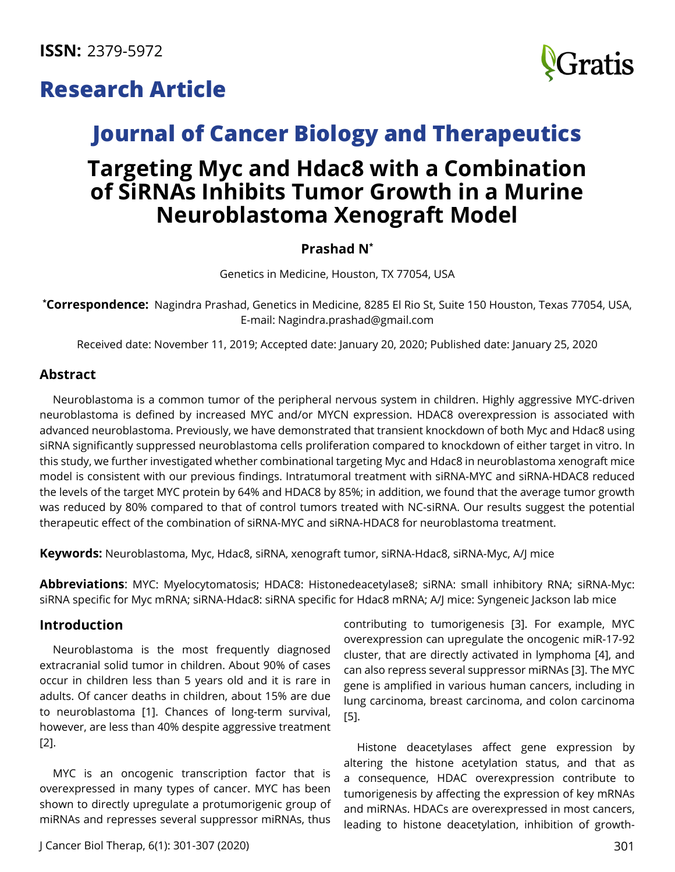# **Research Article**



# **Journal of Cancer Biology and Therapeutics Targeting Myc and Hdac8 with a Combination of SiRNAs Inhibits Tumor Growth in a Murine Neuroblastoma Xenograft Model**

# **Prashad N\***

Genetics in Medicine, Houston, TX 77054, USA

**\* Correspondence:** Nagindra Prashad, Genetics in Medicine, 8285 El Rio St, Suite 150 Houston, Texas 77054, USA, E-mail: [Nagindra.prashad@gmail.com](mailto:Nagindra.prashad@gmail.com)

Received date: November 11, 2019; Accepted date: January 20, 2020; Published date: January 25, 2020

## **Abstract**

Neuroblastoma is a common tumor of the peripheral nervous system in children. Highly aggressive MYC-driven neuroblastoma is defined by increased MYC and/or MYCN expression. HDAC8 overexpression is associated with advanced neuroblastoma. Previously, we have demonstrated that transient knockdown of both Myc and Hdac8 using siRNA significantly suppressed neuroblastoma cells proliferation compared to knockdown of either target in vitro. In this study, we further investigated whether combinational targeting Myc and Hdac8 in neuroblastoma xenograft mice model is consistent with our previous findings. Intratumoral treatment with siRNA-MYC and siRNA-HDAC8 reduced the levels of the target MYC protein by 64% and HDAC8 by 85%; in addition, we found that the average tumor growth was reduced by 80% compared to that of control tumors treated with NC-siRNA. Our results suggest the potential therapeutic effect of the combination of siRNA-MYC and siRNA-HDAC8 for neuroblastoma treatment.

**Keywords:** Neuroblastoma, Myc, Hdac8, siRNA, xenograft tumor, siRNA-Hdac8, siRNA-Myc, A/J mice

**Abbreviations**: MYC: Myelocytomatosis; HDAC8: Histonedeacetylase8; siRNA: small inhibitory RNA; siRNA-Myc: siRNA specific for Myc mRNA; siRNA-Hdac8: siRNA specific for Hdac8 mRNA; A/J mice: Syngeneic Jackson lab mice

# **Introduction**

Neuroblastoma is the most frequently diagnosed extracranial solid tumor in children. About 90% of cases occur in children less than 5 years old and it is rare in adults. Of cancer deaths in children, about 15% are due to neuroblastoma [1]. Chances of long-term survival, however, are less than 40% despite aggressive treatment [2].

MYC is an oncogenic transcription factor that is overexpressed in many types of cancer. MYC has been shown to directly upregulate a protumorigenic group of miRNAs and represses several suppressor miRNAs, thus

contributing to tumorigenesis [3]. For example, MYC overexpression can upregulate the oncogenic miR-17-92 cluster, that are directly activated in lymphoma [4], and can also repress several suppressor miRNAs [3]. The MYC gene is amplified in various human cancers, including in lung carcinoma, breast carcinoma, and colon carcinoma [5].

Histone deacetylases affect gene expression by altering the histone acetylation status, and that as a consequence, HDAC overexpression contribute to tumorigenesis by affecting the expression of key mRNAs and miRNAs. HDACs are overexpressed in most cancers, leading to histone deacetylation, inhibition of growth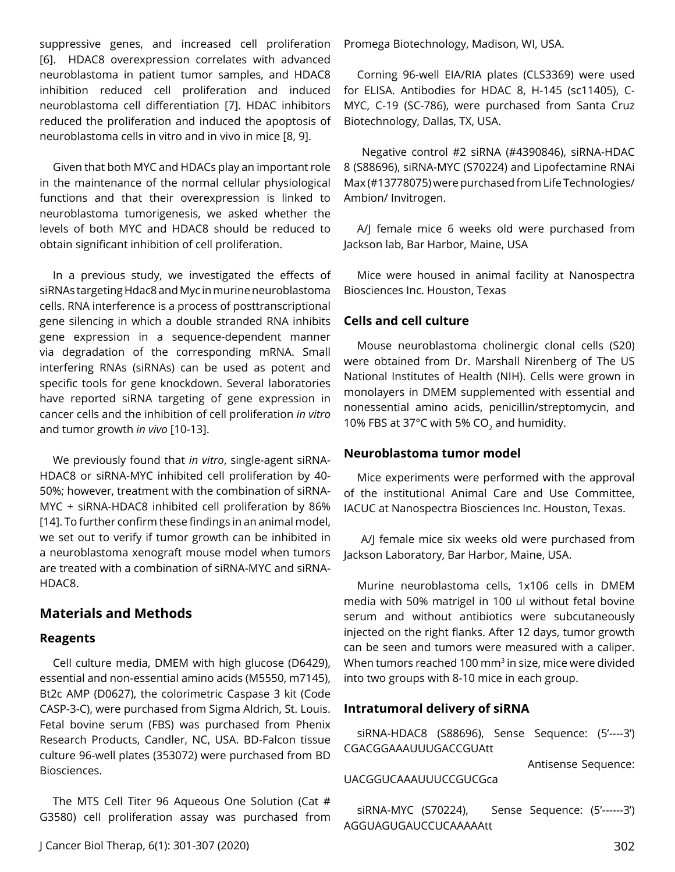suppressive genes, and increased cell proliferation [6]. HDAC8 overexpression correlates with advanced neuroblastoma in patient tumor samples, and HDAC8 inhibition reduced cell proliferation and induced neuroblastoma cell differentiation [7]. HDAC inhibitors reduced the proliferation and induced the apoptosis of neuroblastoma cells in vitro and in vivo in mice [8, 9].

Given that both MYC and HDACs play an important role in the maintenance of the normal cellular physiological functions and that their overexpression is linked to neuroblastoma tumorigenesis, we asked whether the levels of both MYC and HDAC8 should be reduced to obtain significant inhibition of cell proliferation.

In a previous study, we investigated the effects of siRNAs targeting Hdac8 and Myc in murine neuroblastoma cells. RNA interference is a process of posttranscriptional gene silencing in which a double stranded RNA inhibits gene expression in a sequence-dependent manner via degradation of the corresponding mRNA. Small interfering RNAs (siRNAs) can be used as potent and specific tools for gene knockdown. Several laboratories have reported siRNA targeting of gene expression in cancer cells and the inhibition of cell proliferation *in vitro* and tumor growth *in vivo* [10-13].

We previously found that *in vitro*, single-agent siRNA-HDAC8 or siRNA-MYC inhibited cell proliferation by 40- 50%; however, treatment with the combination of siRNA-MYC + siRNA-HDAC8 inhibited cell proliferation by 86% [14]. To further confirm these findings in an animal model, we set out to verify if tumor growth can be inhibited in a neuroblastoma xenograft mouse model when tumors are treated with a combination of siRNA-MYC and siRNA-HDAC8.

# **Materials and Methods**

#### **Reagents**

Cell culture media, DMEM with high glucose (D6429), essential and non-essential amino acids (M5550, m7145), Bt2c AMP (D0627), the colorimetric Caspase 3 kit (Code CASP-3-C), were purchased from Sigma Aldrich, St. Louis. Fetal bovine serum (FBS) was purchased from Phenix Research Products, Candler, NC, USA. BD-Falcon tissue culture 96-well plates (353072) were purchased from BD Biosciences.

The MTS Cell Titer 96 Aqueous One Solution (Cat # G3580) cell proliferation assay was purchased from Promega Biotechnology, Madison, WI, USA.

Corning 96-well EIA/RIA plates (CLS3369) were used for ELISA. Antibodies for HDAC 8, H-145 (sc11405), C-MYC, C-19 (SC-786), were purchased from Santa Cruz Biotechnology, Dallas, TX, USA.

 Negative control #2 siRNA (#4390846), siRNA-HDAC 8 (S88696), siRNA-MYC (S70224) and Lipofectamine RNAi Max (#13778075) were purchased from Life Technologies/ Ambion/ Invitrogen.

A/J female mice 6 weeks old were purchased from Jackson lab, Bar Harbor, Maine, USA

Mice were housed in animal facility at Nanospectra Biosciences Inc. Houston, Texas

## **Cells and cell culture**

Mouse neuroblastoma cholinergic clonal cells (S20) were obtained from Dr. Marshall Nirenberg of The US National Institutes of Health (NIH). Cells were grown in monolayers in DMEM supplemented with essential and nonessential amino acids, penicillin/streptomycin, and 10% FBS at 37 $^{\circ}$ C with 5% CO<sub>2</sub> and humidity.

#### **Neuroblastoma tumor model**

Mice experiments were performed with the approval of the institutional Animal Care and Use Committee, IACUC at Nanospectra Biosciences Inc. Houston, Texas.

 A/J female mice six weeks old were purchased from Jackson Laboratory, Bar Harbor, Maine, USA.

Murine neuroblastoma cells, 1x106 cells in DMEM media with 50% matrigel in 100 ul without fetal bovine serum and without antibiotics were subcutaneously injected on the right flanks. After 12 days, tumor growth can be seen and tumors were measured with a caliper. When tumors reached 100  $mm<sup>3</sup>$  in size, mice were divided into two groups with 8-10 mice in each group.

#### **Intratumoral delivery of siRNA**

siRNA-HDAC8 (S88696), Sense Sequence: (5'----3') CGACGGAAAUUUGACCGUAtt

Antisense Sequence:

#### UACGGUCAAAUUUCCGUCGca

siRNA-MYC (S70224), Sense Sequence: (5'------3') AGGUAGUGAUCCUCAAAAAtt

J Cancer Biol Therap, 6(1): 301-307 (2020) 302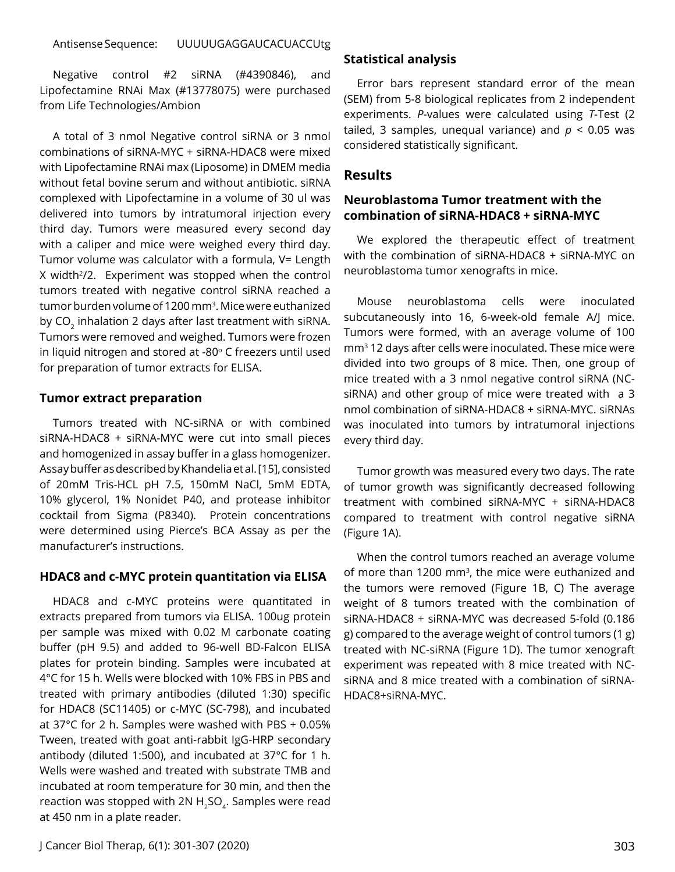#### Antisense Sequence: UUUUUGAGGAUCACUACCUtg

Negative control #2 siRNA (#4390846), and Lipofectamine RNAi Max (#13778075) were purchased from Life Technologies/Ambion

A total of 3 nmol Negative control siRNA or 3 nmol combinations of siRNA-MYC + siRNA-HDAC8 were mixed with Lipofectamine RNAi max (Liposome) in DMEM media without fetal bovine serum and without antibiotic. siRNA complexed with Lipofectamine in a volume of 30 ul was delivered into tumors by intratumoral injection every third day. Tumors were measured every second day with a caliper and mice were weighed every third day. Tumor volume was calculator with a formula, V= Length X width<sup>2</sup>/2. Experiment was stopped when the control tumors treated with negative control siRNA reached a tumor burden volume of 1200 mm3. Mice were euthanized by CO<sub>2</sub> inhalation 2 days after last treatment with siRNA. Tumors were removed and weighed. Tumors were frozen in liquid nitrogen and stored at -80 $\degree$  C freezers until used for preparation of tumor extracts for ELISA.

#### **Tumor extract preparation**

Tumors treated with NC-siRNA or with combined siRNA-HDAC8 + siRNA-MYC were cut into small pieces and homogenized in assay buffer in a glass homogenizer. Assay buffer as described by Khandelia et al. [15], consisted of 20mM Tris-HCL pH 7.5, 150mM NaCl, 5mM EDTA, 10% glycerol, 1% Nonidet P40, and protease inhibitor cocktail from Sigma (P8340). Protein concentrations were determined using Pierce's BCA Assay as per the manufacturer's instructions.

#### **HDAC8 and c-MYC protein quantitation via ELISA**

HDAC8 and c-MYC proteins were quantitated in extracts prepared from tumors via ELISA. 100ug protein per sample was mixed with 0.02 M carbonate coating buffer (pH 9.5) and added to 96-well BD-Falcon ELISA plates for protein binding. Samples were incubated at 4°C for 15 h. Wells were blocked with 10% FBS in PBS and treated with primary antibodies (diluted 1:30) specific for HDAC8 (SC11405) or c-MYC (SC-798), and incubated at 37°C for 2 h. Samples were washed with PBS + 0.05% Tween, treated with goat anti-rabbit IgG-HRP secondary antibody (diluted 1:500), and incubated at 37°C for 1 h. Wells were washed and treated with substrate TMB and incubated at room temperature for 30 min, and then the reaction was stopped with 2N  $H_2SO_4$ . Samples were read at 450 nm in a plate reader.

#### **Statistical analysis**

Error bars represent standard error of the mean (SEM) from 5-8 biological replicates from 2 independent experiments. *P*-values were calculated using *T*-Test (2 tailed, 3 samples, unequal variance) and  $p < 0.05$  was considered statistically significant.

# **Results**

# **Neuroblastoma Tumor treatment with the combination of siRNA-HDAC8 + siRNA-MYC**

We explored the therapeutic effect of treatment with the combination of siRNA-HDAC8 + siRNA-MYC on neuroblastoma tumor xenografts in mice.

Mouse neuroblastoma cells were inoculated subcutaneously into 16, 6-week-old female A/J mice. Tumors were formed, with an average volume of 100 mm3 12 days after cells were inoculated. These mice were divided into two groups of 8 mice. Then, one group of mice treated with a 3 nmol negative control siRNA (NCsiRNA) and other group of mice were treated with a 3 nmol combination of siRNA-HDAC8 + siRNA-MYC. siRNAs was inoculated into tumors by intratumoral injections every third day.

Tumor growth was measured every two days. The rate of tumor growth was significantly decreased following treatment with combined siRNA-MYC + siRNA-HDAC8 compared to treatment with control negative siRNA (Figure 1A).

When the control tumors reached an average volume of more than 1200 mm3, the mice were euthanized and the tumors were removed (Figure 1B, C) The average weight of 8 tumors treated with the combination of siRNA-HDAC8 + siRNA-MYC was decreased 5-fold (0.186 g) compared to the average weight of control tumors (1 g) treated with NC-siRNA (Figure 1D). The tumor xenograft experiment was repeated with 8 mice treated with NCsiRNA and 8 mice treated with a combination of siRNA-HDAC8+siRNA-MYC.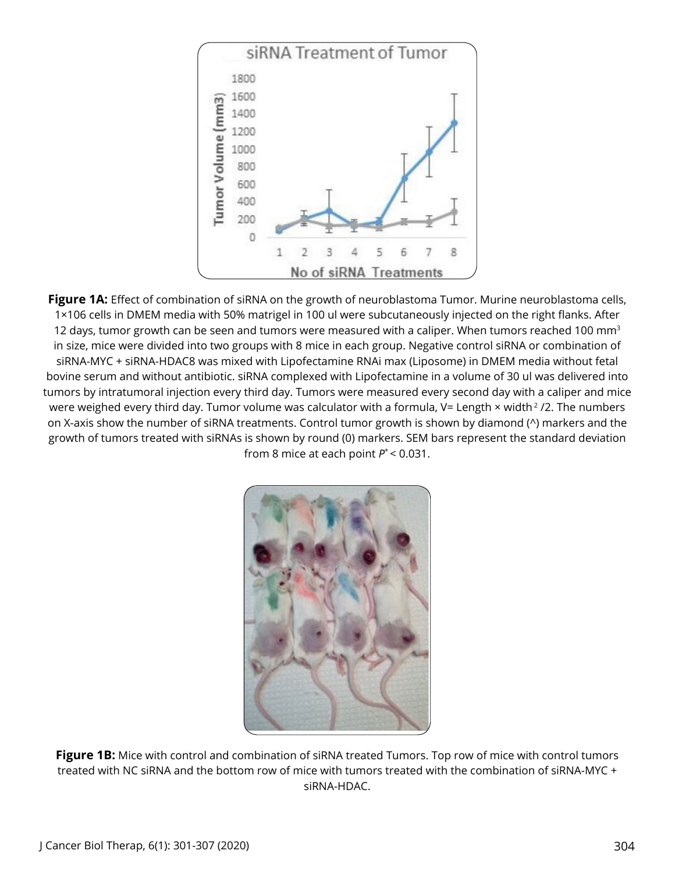

Figure 1A: Effect of combination of siRNA on the growth of neuroblastoma Tumor. Murine neuroblastoma cells, 1×106 cells in DMEM media with 50% matrigel in 100 ul were subcutaneously injected on the right flanks. After 12 days, tumor growth can be seen and tumors were measured with a caliper. When tumors reached 100 mm<sup>3</sup> in size, mice were divided into two groups with 8 mice in each group. Negative control siRNA or combination of siRNA-MYC + siRNA-HDAC8 was mixed with Lipofectamine RNAi max (Liposome) in DMEM media without fetal bovine serum and without antibiotic. siRNA complexed with Lipofectamine in a volume of 30 ul was delivered into tumors by intratumoral injection every third day. Tumors were measured every second day with a caliper and mice were weighed every third day. Tumor volume was calculator with a formula, V= Length × width<sup>2</sup> /2. The numbers on X-axis show the number of siRNA treatments. Control tumor growth is shown by diamond (^) markers and the growth of tumors treated with siRNAs is shown by round (0) markers. SEM bars represent the standard deviation from 8 mice at each point *P*\* < 0.031.



**Figure 1B:** Mice with control and combination of siRNA treated Tumors. Top row of mice with control tumors treated with NC siRNA and the bottom row of mice with tumors treated with the combination of siRNA-MYC + siRNA-HDAC.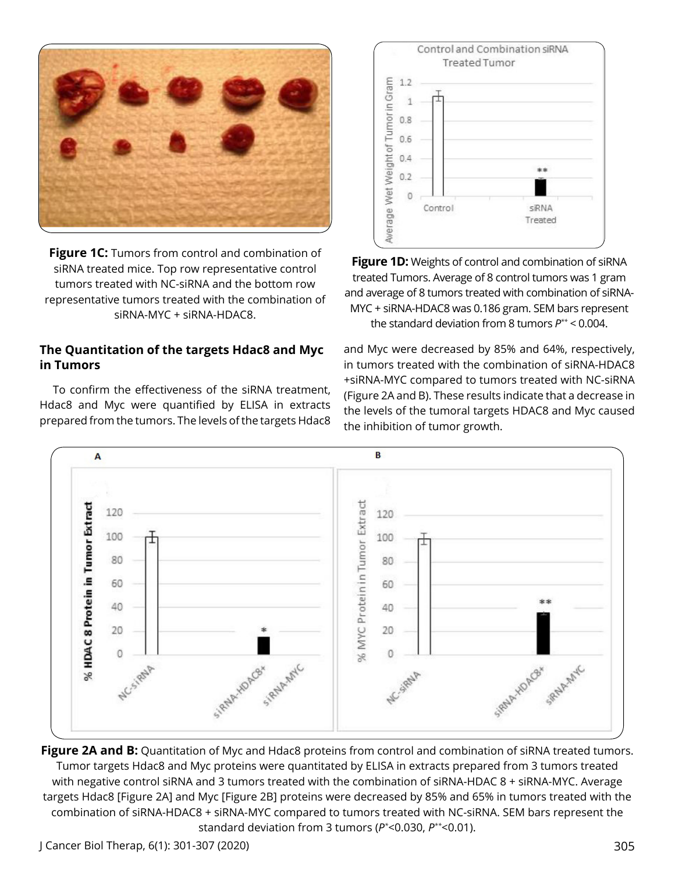

**Figure 1C:** Tumors from control and combination of siRNA treated mice. Top row representative control tumors treated with NC-siRNA and the bottom row representative tumors treated with the combination of siRNA-MYC + siRNA-HDAC8.

# **The Quantitation of the targets Hdac8 and Myc in Tumors**

To confirm the effectiveness of the siRNA treatment, Hdac8 and Myc were quantified by ELISA in extracts prepared from the tumors. The levels of the targets Hdac8



**Figure 1D:** Weights of control and combination of siRNA treated Tumors. Average of 8 control tumors was 1 gram and average of 8 tumors treated with combination of siRNA-MYC + siRNA-HDAC8 was 0.186 gram. SEM bars represent the standard deviation from 8 tumors *P\*\** < 0.004.

and Myc were decreased by 85% and 64%, respectively, in tumors treated with the combination of siRNA-HDAC8 +siRNA-MYC compared to tumors treated with NC-siRNA (Figure 2A and B). These results indicate that a decrease in the levels of the tumoral targets HDAC8 and Myc caused the inhibition of tumor growth.



**Figure 2A and B:** Quantitation of Myc and Hdac8 proteins from control and combination of siRNA treated tumors. Tumor targets Hdac8 and Myc proteins were quantitated by ELISA in extracts prepared from 3 tumors treated with negative control siRNA and 3 tumors treated with the combination of siRNA-HDAC 8 + siRNA-MYC. Average targets Hdac8 [Figure 2A] and Myc [Figure 2B] proteins were decreased by 85% and 65% in tumors treated with the combination of siRNA-HDAC8 + siRNA-MYC compared to tumors treated with NC-siRNA. SEM bars represent the standard deviation from 3 tumors (*P\** <0.030, *P\*\**<0.01).

J Cancer Biol Therap, 6(1): 301-307 (2020) 305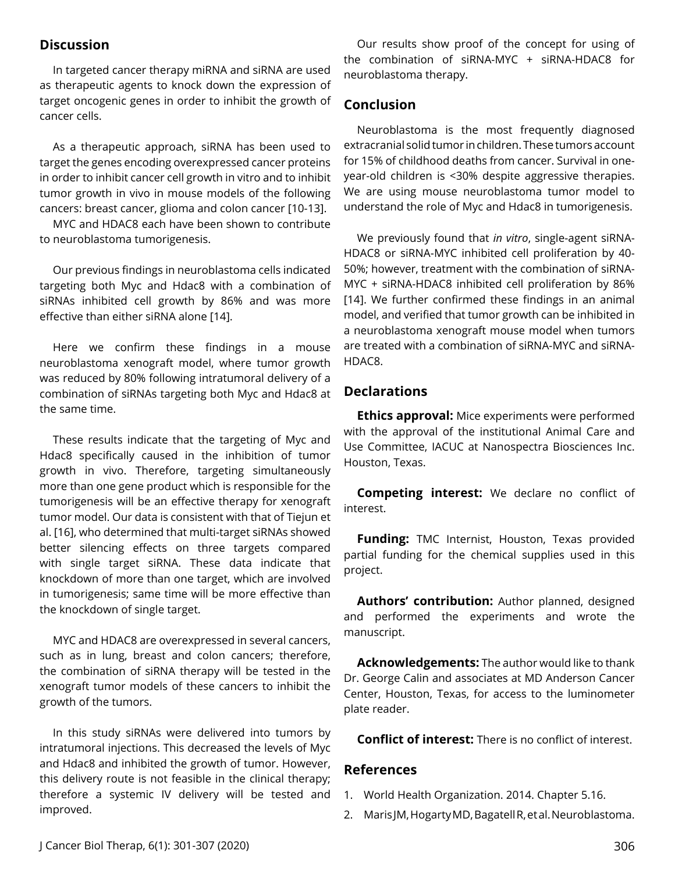#### **Discussion**

In targeted cancer therapy miRNA and siRNA are used as therapeutic agents to knock down the expression of target oncogenic genes in order to inhibit the growth of cancer cells.

As a therapeutic approach, siRNA has been used to target the genes encoding overexpressed cancer proteins in order to inhibit cancer cell growth in vitro and to inhibit tumor growth in vivo in mouse models of the following cancers: breast cancer, glioma and colon cancer [10-13].

MYC and HDAC8 each have been shown to contribute to neuroblastoma tumorigenesis.

Our previous findings in neuroblastoma cells indicated targeting both Myc and Hdac8 with a combination of siRNAs inhibited cell growth by 86% and was more effective than either siRNA alone [14].

Here we confirm these findings in a mouse neuroblastoma xenograft model, where tumor growth was reduced by 80% following intratumoral delivery of a combination of siRNAs targeting both Myc and Hdac8 at the same time.

These results indicate that the targeting of Myc and Hdac8 specifically caused in the inhibition of tumor growth in vivo. Therefore, targeting simultaneously more than one gene product which is responsible for the tumorigenesis will be an effective therapy for xenograft tumor model. Our data is consistent with that of Tiejun et al. [16], who determined that multi-target siRNAs showed better silencing effects on three targets compared with single target siRNA. These data indicate that knockdown of more than one target, which are involved in tumorigenesis; same time will be more effective than the knockdown of single target.

MYC and HDAC8 are overexpressed in several cancers, such as in lung, breast and colon cancers; therefore, the combination of siRNA therapy will be tested in the xenograft tumor models of these cancers to inhibit the growth of the tumors.

In this study siRNAs were delivered into tumors by intratumoral injections. This decreased the levels of Myc and Hdac8 and inhibited the growth of tumor. However, this delivery route is not feasible in the clinical therapy; therefore a systemic IV delivery will be tested and improved.

Our results show proof of the concept for using of the combination of siRNA-MYC + siRNA-HDAC8 for neuroblastoma therapy.

# **Conclusion**

Neuroblastoma is the most frequently diagnosed extracranial solid tumor in children. These tumors account for 15% of childhood deaths from cancer. Survival in oneyear-old children is <30% despite aggressive therapies. We are using mouse neuroblastoma tumor model to understand the role of Myc and Hdac8 in tumorigenesis.

We previously found that *in vitro*, single-agent siRNA-HDAC8 or siRNA-MYC inhibited cell proliferation by 40- 50%; however, treatment with the combination of siRNA-MYC + siRNA-HDAC8 inhibited cell proliferation by 86% [14]. We further confirmed these findings in an animal model, and verified that tumor growth can be inhibited in a neuroblastoma xenograft mouse model when tumors are treated with a combination of siRNA-MYC and siRNA-HDAC8.

# **Declarations**

**Ethics approval:** Mice experiments were performed with the approval of the institutional Animal Care and Use Committee, IACUC at Nanospectra Biosciences Inc. Houston, Texas.

**Competing interest:** We declare no conflict of interest.

**Funding:** TMC Internist, Houston, Texas provided partial funding for the chemical supplies used in this project.

**Authors' contribution:** Author planned, designed and performed the experiments and wrote the manuscript.

**Acknowledgements:** The author would like to thank Dr. George Calin and associates at MD Anderson Cancer Center, Houston, Texas, for access to the luminometer plate reader.

**Conflict of interest:** There is no conflict of interest.

#### **References**

- 1. World Health Organization. 2014. Chapter 5.16.
- 2. Maris JM, Hogarty MD, Bagatell R, et al. Neuroblastoma.